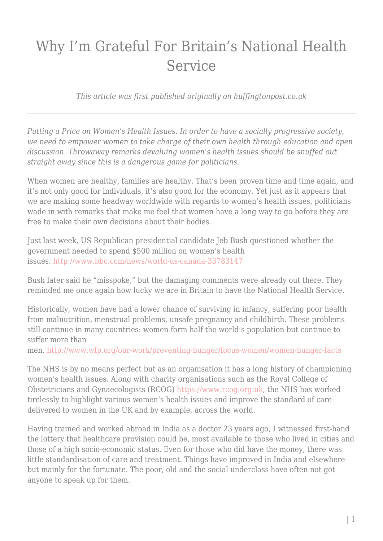## Why I'm Grateful For Britain's National Health Service

*This article was first published originally on huffingtonpost.co.uk*

*Putting a Price on Women's Health Issues. In order to have a socially progressive society, we need to empower women to take charge of their own health through education and open discussion. Throwaway remarks devaluing women's health issues should be snuffed out straight away since this is a dangerous game for politicians.*

When women are healthy, families are healthy. That's been proven time and time again, and it's not only good for individuals, it's also good for the economy. Yet just as it appears that we are making some headway worldwide with regards to women's health issues, politicians wade in with remarks that make me feel that women have a long way to go before they are free to make their own decisions about their bodies.

Just last week, US Republican presidential candidate Jeb Bush questioned whether the government needed to spend \$500 million on women's health issues. <http://www.bbc.com/news/world-us-canada-33783147>

Bush later said he "misspoke," but the damaging comments were already out there. They reminded me once again how lucky we are in Britain to have the National Health Service.

Historically, women have had a lower chance of surviving in infancy, suffering poor health from malnutrition, menstrual problems, unsafe pregnancy and childbirth. These problems still continue in many countries: women form half the world's population but continue to suffer more than

men. <http://www.wfp.org/our-work/preventing-hunger/focus-women/women-hunger-facts>

The NHS is by no means perfect but as an organisation it has a long history of championing women's health issues. Along with charity organisations such as the Royal College of Obstetricians and Gynaecologists (RCOG) [https://www.rcog.org.uk,](https://www.rcog.org.uk/) the NHS has worked tirelessly to highlight various women's health issues and improve the standard of care delivered to women in the UK and by example, across the world.

Having trained and worked abroad in India as a doctor 23 years ago, I witnessed first-hand the lottery that healthcare provision could be, most available to those who lived in cities and those of a high socio-economic status. Even for those who did have the money, there was little standardisation of care and treatment. Things have improved in India and elsewhere but mainly for the fortunate. The poor, old and the social underclass have often not got anyone to speak up for them.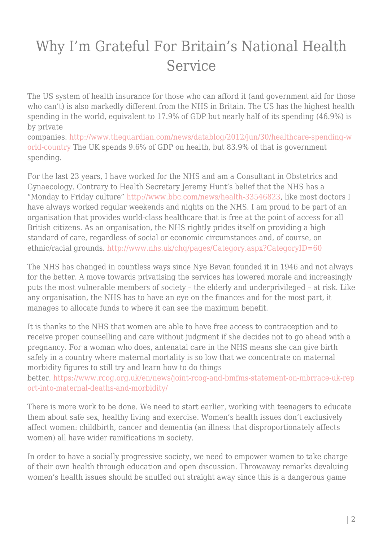## Why I'm Grateful For Britain's National Health Service

The US system of health insurance for those who can afford it (and government aid for those who can't) is also markedly different from the NHS in Britain. The US has the highest health spending in the world, equivalent to 17.9% of GDP but nearly half of its spending (46.9%) is by private

companies. [http://www.theguardian.com/news/datablog/2012/jun/30/healthcare-spending-w](http://www.theguardian.com/news/datablog/2012/jun/30/healthcare-spending-world-country) [orld-country](http://www.theguardian.com/news/datablog/2012/jun/30/healthcare-spending-world-country) The UK spends 9.6% of GDP on health, but 83.9% of that is government spending.

For the last 23 years, I have worked for the NHS and am a Consultant in Obstetrics and Gynaecology. Contrary to Health Secretary Jeremy Hunt's belief that the NHS has a "Monday to Friday culture" <http://www.bbc.com/news/health-33546823>, like most doctors I have always worked regular weekends and nights on the NHS. I am proud to be part of an organisation that provides world-class healthcare that is free at the point of access for all British citizens. As an organisation, the NHS rightly prides itself on providing a high standard of care, regardless of social or economic circumstances and, of course, on ethnic/racial grounds. <http://www.nhs.uk/chq/pages/Category.aspx?CategoryID=60>

The NHS has changed in countless ways since Nye Bevan founded it in 1946 and not always for the better. A move towards privatising the services has lowered morale and increasingly puts the most vulnerable members of society – the elderly and underprivileged – at risk. Like any organisation, the NHS has to have an eye on the finances and for the most part, it manages to allocate funds to where it can see the maximum benefit.

It is thanks to the NHS that women are able to have free access to contraception and to receive proper counselling and care without judgment if she decides not to go ahead with a pregnancy. For a woman who does, antenatal care in the NHS means she can give birth safely in a country where maternal mortality is so low that we concentrate on maternal morbidity figures to still try and learn how to do things

better. [https://www.rcog.org.uk/en/news/joint-rcog-and-bmfms-statement-on-mbrrace-uk-rep](https://www.rcog.org.uk/en/news/joint-rcog-and-bmfms-statement-on-mbrrace-uk-report-into-maternal-deaths-and-morbidity/) [ort-into-maternal-deaths-and-morbidity/](https://www.rcog.org.uk/en/news/joint-rcog-and-bmfms-statement-on-mbrrace-uk-report-into-maternal-deaths-and-morbidity/)

There is more work to be done. We need to start earlier, working with teenagers to educate them about safe sex, healthy living and exercise. Women's health issues don't exclusively affect women: childbirth, cancer and dementia (an illness that disproportionately affects women) all have wider ramifications in society.

In order to have a socially progressive society, we need to empower women to take charge of their own health through education and open discussion. Throwaway remarks devaluing women's health issues should be snuffed out straight away since this is a dangerous game